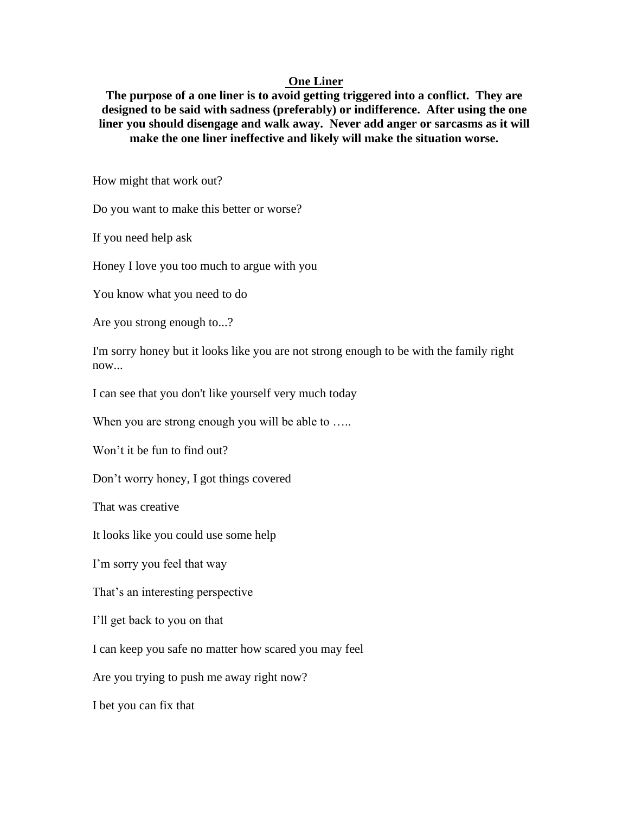## **One Liner**

**The purpose of a one liner is to avoid getting triggered into a conflict. They are designed to be said with sadness (preferably) or indifference. After using the one liner you should disengage and walk away. Never add anger or sarcasms as it will make the one liner ineffective and likely will make the situation worse.**

How might that work out?

Do you want to make this better or worse?

If you need help ask

Honey I love you too much to argue with you

You know what you need to do

Are you strong enough to...?

I'm sorry honey but it looks like you are not strong enough to be with the family right now...

I can see that you don't like yourself very much today

When you are strong enough you will be able to .....

Won't it be fun to find out?

Don't worry honey, I got things covered

That was creative

It looks like you could use some help

I'm sorry you feel that way

That's an interesting perspective

I'll get back to you on that

I can keep you safe no matter how scared you may feel

Are you trying to push me away right now?

I bet you can fix that